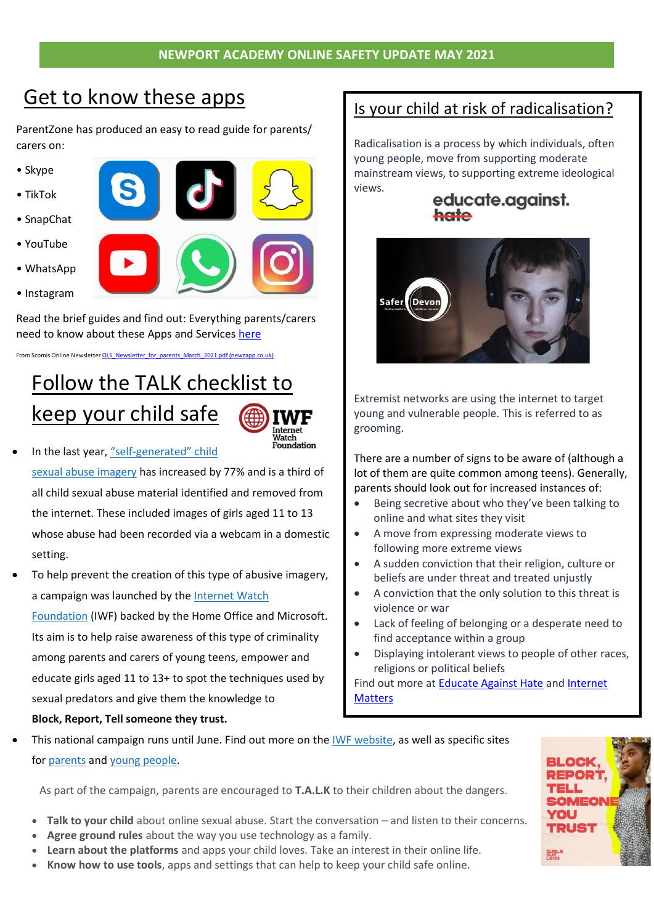## Get to know these apps

ParentZone has produced an easy to read guide for parents/ carers on:

- Skype
- TikTok
- SnapChat
- YouTube
- WhatsApp
- Instagram



Read the brief guides and find out: Everything parents/carers need to know about these Apps and Services [here](https://www.parents.parentzone.org.uk/morearticles/the-6-apps-and-services-that-every-parent-should-know-about)

From Scomis Online Newsletter [OLS\\_Newsletter\\_for\\_parents\\_March\\_2021.pdf \(newzapp.co.uk\)](https://system.newzapp.co.uk/editsite/customers/18375/nz-docs/OLS_Newsletter_for_parents_March_2021.pdf)

## Follow the TALK checklist to keep your child safe



- In the last year, "self-[generated"](https://annualreport2020.iwf.org.uk/trends/international/selfgenerated) child sexual abuse [imagery](https://annualreport2020.iwf.org.uk/trends/international/selfgenerated) has increased by 77% and is a third of all child sexual abuse material identified and removed from the internet. These included images of girls aged 11 to 13 whose abuse had been recorded via a webcam in a domestic setting.
- To help prevent the creation of this type of abusive imagery, a campaign was launched by the [Internet](https://www.iwf.org.uk/selfgenerated-prevention-campaign) Watch [Foundation](https://www.iwf.org.uk/selfgenerated-prevention-campaign) (IWF) backed by the Home Office and Microsoft. Its aim is to help raise awareness of this type of criminality among parents and carers of young teens, empower and educate girls aged 11 to 13+ to spot the techniques used by sexual predators and give them the knowledge to **Block, Report, Tell someone they trust.**

## Is your child at risk of radicalisation?

Radicalisation is a process by which individuals, often young people, move from supporting moderate mainstream vi[ews, to supporting extreme ideolog](https://educateagainsthate.com/parents/)ical views.

# educate.against.



Extremist networks are using the internet to target young and vulnerable people. This is referred to as grooming.

There are a number of signs to be aware of (although a lot of them are quite common among teens). Generally, parents should look out for increased instances of:

- Being secretive about who they've been talking to online and what sites they visit
- A move from expressing moderate views to following more extreme views
- A sudden conviction that their religion, culture or beliefs are under threat and treated unjustly
- A conviction that the only solution to this threat is violence or war
- Lack of feeling of belonging or a desperate need to find acceptance within a group
- Displaying intolerant views to people of other races, religions or political beliefs

Find out more at **Educate Against Hate and Internet [Matters](https://www.internetmatters.org/issues/radicalisation/learn-about-it/#monitoring-kids-online)** 

This national campaign runs until June. Find out more on the IWF [website,](https://www.iwf.org.uk/selfgenerated-prevention-campaign) as well as specific sites for [parents](https://talk.iwf.org.uk/) and young [people.](https://gurlsoutloud.com/)

As part of the campaign, parents are encouraged to **T.A.L.K** to their children about the dangers.

- **Talk to your child** about online sexual abuse. Start the conversation and listen to their concerns.
- **Agree ground rules** about the way you use technology as a family.
- **Learn about the platforms** and apps your child loves. Take an interest in their online life.
- **Know how to use tools**, apps and settings that can help to keep your child safe online.

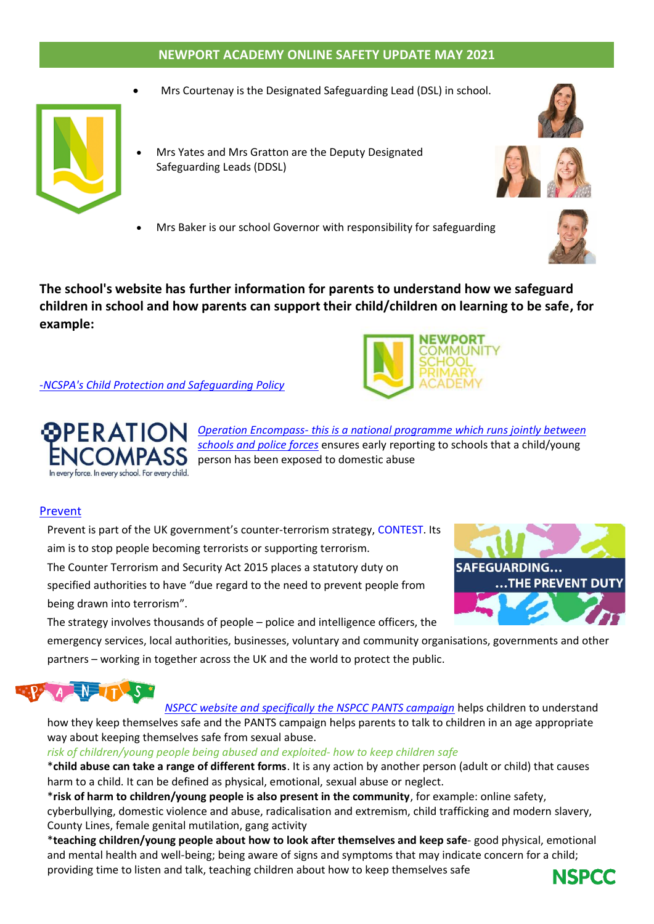#### **NEWPORT ACADEMY ONLINE SAFETY UPDATE MAY 2021**

• Mrs Courtenay is the Designated Safeguarding Lead (DSL) in school.



- Mrs Yates and Mrs Gratton are the Deputy Designated Safeguarding Leads (DDSL)
- Mrs Baker is our school Governor with responsibility for safeguarding



**The school's website has further information for parents to understand how we safeguard children in school and how parents can support their child/children on learning to be safe, for example:**

#### -*NCSPA's Child Protection and [Safeguarding](https://www.newportprimary.devon.sch.uk/safeguarding) Policy*





*Operation [Encompass-](https://4087aeb3-1ab3-464d-b5eb-b652ecad8c3b.filesusr.com/ugd/8c1913_8b68e5c83be447869cfc7ead33a52d02.pdf) this is a national programme which runs jointly between [schools](https://4087aeb3-1ab3-464d-b5eb-b652ecad8c3b.filesusr.com/ugd/8c1913_8b68e5c83be447869cfc7ead33a52d02.pdf) and police forces* ensures early reporting to schools that a child/young **NCOMPASS** person has been exposed to domestic abuse

#### [Prevent](https://www.gov.uk/government/publications/protecting-children-from-radicalisation-the-prevent-duty)

Prevent is part of the UK government's counter-terrorism strategy, [CONTEST.](https://www.gov.uk/government/collections/contest) Its aim is to stop people becoming terrorists or supporting terrorism.

The Counter Terrorism and Security Act 2015 places a statutory duty on specified authorities to have "due regard to the need to prevent people from being drawn into terrorism".



The strategy involves thousands of people – police and intelligence officers, the

emergency services, local authorities, businesses, voluntary and community organisations, governments and other partners – working in together across the UK and the world to protect the public.



*NSPCC website and [specifically](https://4087aeb3-1ab3-464d-b5eb-b652ecad8c3b.filesusr.com/ugd/8c1913_5584dfc70c484fdfa697659fea98d26f.pdf) the NSPCC PANTS campaign* helps children to understand how they keep themselves safe and the PANTS campaign helps parents to talk to children in an age appropriate way about keeping themselves safe from sexual abuse.

*risk of children/young people being abused and exploited- how to keep children safe*

\***child abuse can take a range of different forms**. It is any action by another person (adult or child) that causes harm to a child. It can be defined as physical, emotional, sexual abuse or neglect.

\***risk of harm to children/young people is also present in the community**, for example: online safety, cyberbullying, domestic violence and abuse, radicalisation and extremism, child trafficking and modern slavery, County Lines, female genital mutilation, gang activity

\***teaching children/young people about how to look after themselves and keep safe**- good physical, emotional and mental health and well-being; being aware of signs and symptoms that may indicate concern for a child; providing time to listen and talk, teaching children about how to keep themselves safe